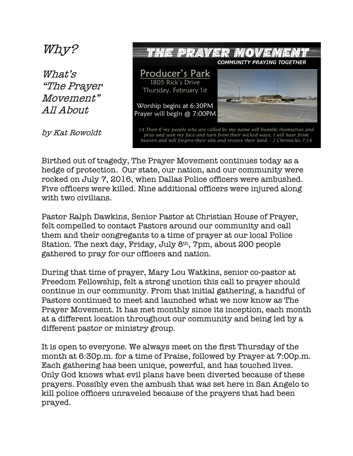## Why? THE PRAYER MOVEM **COMMUNITY PRAYING TOGETHER Producer's Park** What's 1805 Rick's Drive "The Prayer Thursday, February 1st Movement" West of the Worship begins at 6:30PM All About Prayer will begin @ 7:00PM 14 Then if my people who are called by my name will humble themselves and<br>pray and seek my face and turn from their wicked ways, I will hear from by Kat Rowoldt heaven and will forgive their sins and restore their land. - 2 Chronicles 7:14

Birthed out of tragedy, The Prayer Movement continues today as a hedge of protection. Our state, our nation, and our community were rocked on July 7, 2016, when Dallas Police officers were ambushed. Five officers were killed. Nine additional officers were injured along with two civilians.

Pastor Ralph Dawkins, Senior Pastor at Christian House of Prayer, felt compelled to contact Pastors around our community and call them and their congregants to a time of prayer at our local Police Station. The next day, Friday, July 8th, 7pm, about 200 people gathered to pray for our officers and nation.

During that time of prayer, Mary Lou Watkins, senior co-pastor at Freedom Fellowship, felt a strong unction this call to prayer should continue in our community. From that initial gathering, a handful of Pastors continued to meet and launched what we now know as The Prayer Movement. It has met monthly since its inception, each month at a different location throughout our community and being led by a different pastor or ministry group.

It is open to everyone. We always meet on the first Thursday of the month at 6:30p.m. for a time of Praise, followed by Prayer at 7:00p.m. Each gathering has been unique, powerful, and has touched lives. Only God knows what evil plans have been diverted because of these prayers. Possibly even the ambush that was set here in San Angelo to kill police officers unraveled because of the prayers that had been prayed.